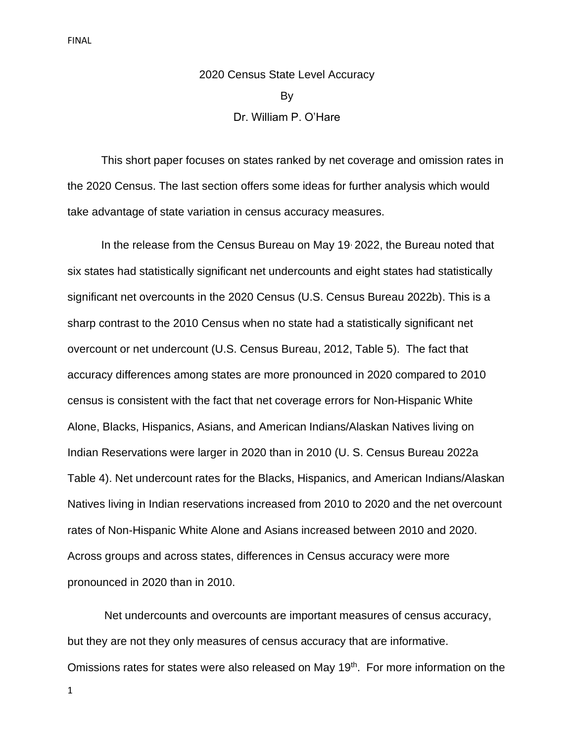# 2020 Census State Level Accuracy By Dr. William P. O'Hare

This short paper focuses on states ranked by net coverage and omission rates in the 2020 Census. The last section offers some ideas for further analysis which would take advantage of state variation in census accuracy measures.

In the release from the Census Bureau on May 19 2022, the Bureau noted that six states had statistically significant net undercounts and eight states had statistically significant net overcounts in the 2020 Census (U.S. Census Bureau 2022b). This is a sharp contrast to the 2010 Census when no state had a statistically significant net overcount or net undercount (U.S. Census Bureau, 2012, Table 5). The fact that accuracy differences among states are more pronounced in 2020 compared to 2010 census is consistent with the fact that net coverage errors for Non-Hispanic White Alone, Blacks, Hispanics, Asians, and American Indians/Alaskan Natives living on Indian Reservations were larger in 2020 than in 2010 (U. S. Census Bureau 2022a Table 4). Net undercount rates for the Blacks, Hispanics, and American Indians/Alaskan Natives living in Indian reservations increased from 2010 to 2020 and the net overcount rates of Non-Hispanic White Alone and Asians increased between 2010 and 2020. Across groups and across states, differences in Census accuracy were more pronounced in 2020 than in 2010.

Net undercounts and overcounts are important measures of census accuracy, but they are not they only measures of census accuracy that are informative. Omissions rates for states were also released on May 19<sup>th</sup>. For more information on the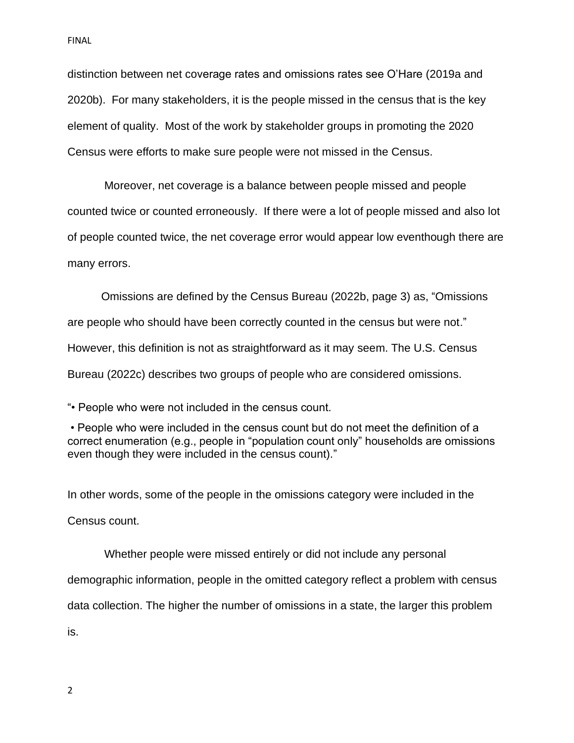distinction between net coverage rates and omissions rates see O'Hare (2019a and 2020b). For many stakeholders, it is the people missed in the census that is the key element of quality. Most of the work by stakeholder groups in promoting the 2020 Census were efforts to make sure people were not missed in the Census.

Moreover, net coverage is a balance between people missed and people counted twice or counted erroneously. If there were a lot of people missed and also lot of people counted twice, the net coverage error would appear low eventhough there are many errors.

Omissions are defined by the Census Bureau (2022b, page 3) as, "Omissions are people who should have been correctly counted in the census but were not." However, this definition is not as straightforward as it may seem. The U.S. Census Bureau (2022c) describes two groups of people who are considered omissions.

"• People who were not included in the census count.

• People who were included in the census count but do not meet the definition of a correct enumeration (e.g., people in "population count only" households are omissions even though they were included in the census count)."

In other words, some of the people in the omissions category were included in the Census count.

Whether people were missed entirely or did not include any personal demographic information, people in the omitted category reflect a problem with census data collection. The higher the number of omissions in a state, the larger this problem is.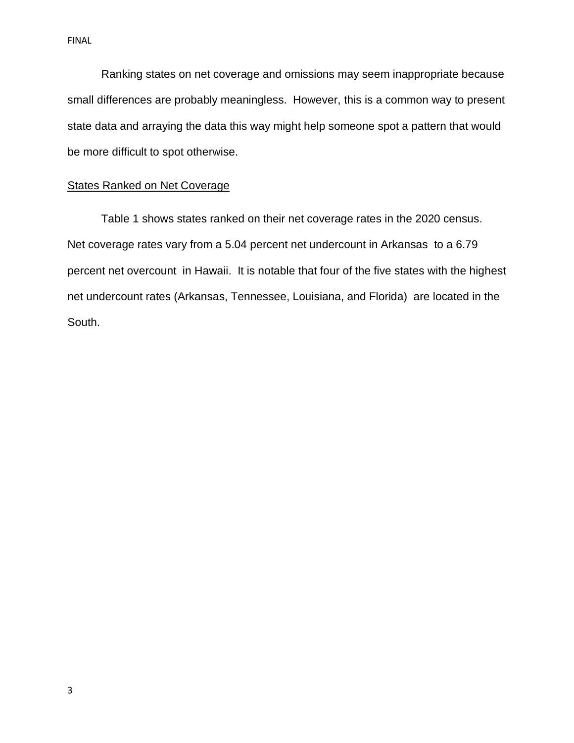Ranking states on net coverage and omissions may seem inappropriate because small differences are probably meaningless. However, this is a common way to present state data and arraying the data this way might help someone spot a pattern that would be more difficult to spot otherwise.

### States Ranked on Net Coverage

Table 1 shows states ranked on their net coverage rates in the 2020 census. Net coverage rates vary from a 5.04 percent net undercount in Arkansas to a 6.79 percent net overcount in Hawaii. It is notable that four of the five states with the highest net undercount rates (Arkansas, Tennessee, Louisiana, and Florida) are located in the South.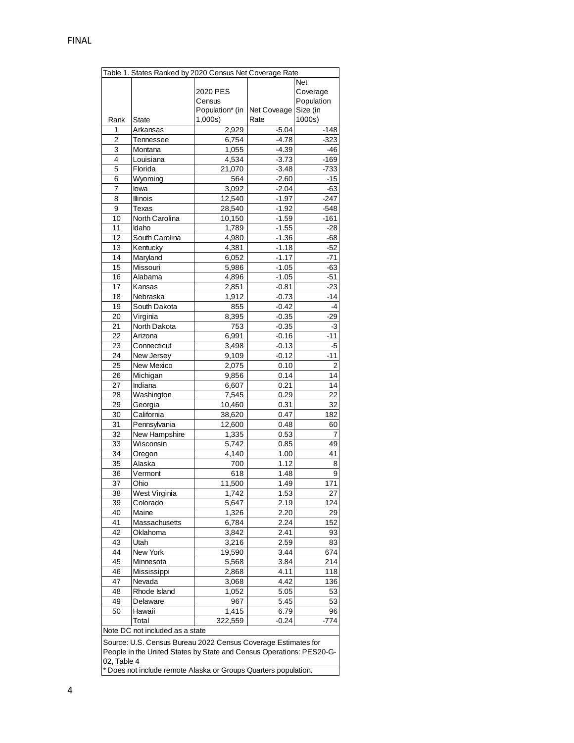|                                                                      | Table 1. States Ranked by 2020 Census Net Coverage Rate |                 |             |                |
|----------------------------------------------------------------------|---------------------------------------------------------|-----------------|-------------|----------------|
|                                                                      |                                                         |                 |             | Net            |
|                                                                      |                                                         | 2020 PES        |             | Coverage       |
|                                                                      |                                                         | Census          |             | Population     |
|                                                                      |                                                         | Population* (in | Net Coveage | Size (in       |
| Rank                                                                 | State                                                   | 1,000s)         | Rate        | 1000s)         |
| 1                                                                    | Arkansas                                                | 2,929           | $-5.04$     | $-148$         |
| $\overline{2}$                                                       | Tennessee                                               | 6,754           | $-4.78$     | -323           |
| 3                                                                    | Montana                                                 | 1,055           | $-4.39$     | $-46$          |
| 4                                                                    | Louisiana                                               | 4,534           | $-3.73$     | -169           |
| 5                                                                    | Florida                                                 | 21,070          | $-3.48$     | -733           |
| 6                                                                    | Wyoming                                                 | 564             | $-2.60$     | -15            |
| 7                                                                    | lowa                                                    | 3,092           | $-2.04$     | -63            |
| 8                                                                    | <b>Illinois</b>                                         | 12,540          | $-1.97$     | -247           |
| 9                                                                    | Texas                                                   | 28,540          | $-1.92$     | $-548$         |
| 10                                                                   | North Carolina                                          | 10,150          | $-1.59$     | $-161$         |
| 11                                                                   | Idaho                                                   | 1,789           | $-1.55$     | -28            |
| 12                                                                   | South Carolina                                          | 4,980           | $-1.36$     | -68            |
| 13                                                                   | Kentucky                                                | 4,381           | $-1.18$     | -52            |
| 14                                                                   | Maryland                                                | 6,052           | $-1.17$     | -71            |
| 15                                                                   | Missouri                                                | 5,986           | $-1.05$     | -63            |
| 16                                                                   | Alabama                                                 | 4,896           | $-1.05$     | $-51$          |
| 17                                                                   | Kansas                                                  | 2,851           | $-0.81$     | $-23$          |
| 18                                                                   | Nebraska                                                | 1,912           | $-0.73$     | $-14$          |
| 19                                                                   | South Dakota                                            | 855             | $-0.42$     | -4             |
| 20                                                                   | Virginia                                                | 8,395           | $-0.35$     | $-29$          |
| 21                                                                   | North Dakota                                            | 753             | $-0.35$     | $-3$           |
| 22                                                                   | Arizona                                                 | 6,991           | $-0.16$     | $-11$          |
| 23                                                                   | Connecticut                                             | 3,498           | $-0.13$     | -5             |
| 24                                                                   | New Jersey                                              | 9,109           | $-0.12$     | $-11$          |
| 25                                                                   | New Mexico                                              | 2,075           | 0.10        | $\overline{2}$ |
| 26                                                                   | Michigan                                                | 9,856           | 0.14        | 14             |
|                                                                      |                                                         |                 |             | 14             |
| 27<br>28                                                             | Indiana                                                 | 6,607           | 0.21        | 22             |
| 29                                                                   | Washington                                              | 7,545           | 0.29        | 32             |
|                                                                      | Georgia<br>California                                   | 10,460          | 0.31        |                |
| 30                                                                   |                                                         | 38,620          | 0.47        | 182            |
| 31                                                                   | Pennsylvania                                            | 12,600          | 0.48        | 60             |
| 32                                                                   | New Hampshire                                           | 1,335           | 0.53        | 7              |
| 33                                                                   | Wisconsin                                               | 5,742           | 0.85        | 49             |
| 34                                                                   | Oregon                                                  | 4,140           | 1.00        | 41             |
| 35                                                                   | Alaska                                                  | 700             | 1.12        | 8              |
| 36                                                                   | Vermont                                                 | 618             | 1.48        | 9              |
| 37                                                                   | Ohio                                                    | 11,500          | 1.49        | 171            |
| 38                                                                   | West Virginia                                           | 1,742           | 1.53        | 27             |
| 39                                                                   | Colorado                                                | 5,647           | 2.19        | 124            |
| 40                                                                   | Maine                                                   | 1,326           | 2.20        | 29             |
| 41                                                                   | Massachusetts                                           | 6,784           | 2.24        | 152            |
| 42                                                                   | Oklahoma                                                | 3,842           | 2.41        | 93             |
| 43                                                                   | Utah                                                    | 3,216           | 2.59        | 83             |
| 44                                                                   | New York                                                | 19,590          | 3.44        | 674            |
| 45                                                                   | Minnesota                                               | 5,568           | 3.84        | 214            |
| 46                                                                   | Mississippi                                             | 2,868           | 4.11        | 118            |
| 47                                                                   | Nevada                                                  | 3,068           | 4.42        | 136            |
| 48                                                                   | Rhode Island                                            | 1,052           | 5.05        | 53             |
| 49                                                                   | Delaware                                                | 967             | 5.45        | 53             |
| 50                                                                   | Hawaii                                                  | 1,415           | 6.79        | 96             |
|                                                                      | Total                                                   | 322,559         | -0.24       | -774           |
| Note DC not included as a state                                      |                                                         |                 |             |                |
| Source: U.S. Census Bureau 2022 Census Coverage Estimates for        |                                                         |                 |             |                |
| People in the United States by State and Census Operations: PES20-G- |                                                         |                 |             |                |
| 02, Table 4                                                          |                                                         |                 |             |                |
| * Does not include remote Alaska or Groups Quarters population.      |                                                         |                 |             |                |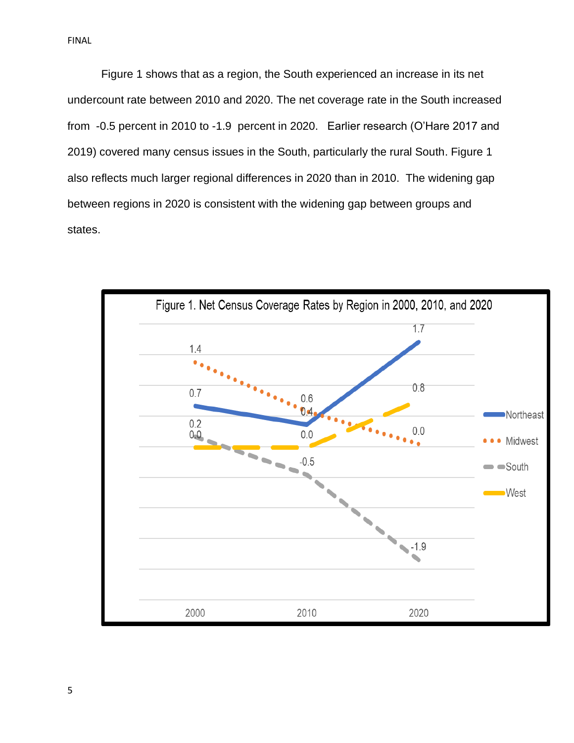Figure 1 shows that as a region, the South experienced an increase in its net undercount rate between 2010 and 2020. The net coverage rate in the South increased from -0.5 percent in 2010 to -1.9 percent in 2020. Earlier research (O'Hare 2017 and 2019) covered many census issues in the South, particularly the rural South. Figure 1 also reflects much larger regional differences in 2020 than in 2010. The widening gap between regions in 2020 is consistent with the widening gap between groups and states.

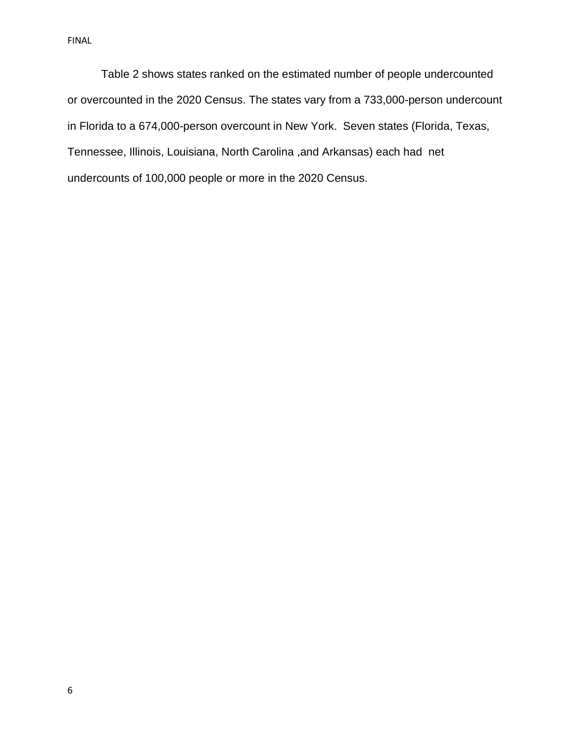Table 2 shows states ranked on the estimated number of people undercounted or overcounted in the 2020 Census. The states vary from a 733,000-person undercount in Florida to a 674,000-person overcount in New York. Seven states (Florida, Texas, Tennessee, Illinois, Louisiana, North Carolina ,and Arkansas) each had net undercounts of 100,000 people or more in the 2020 Census.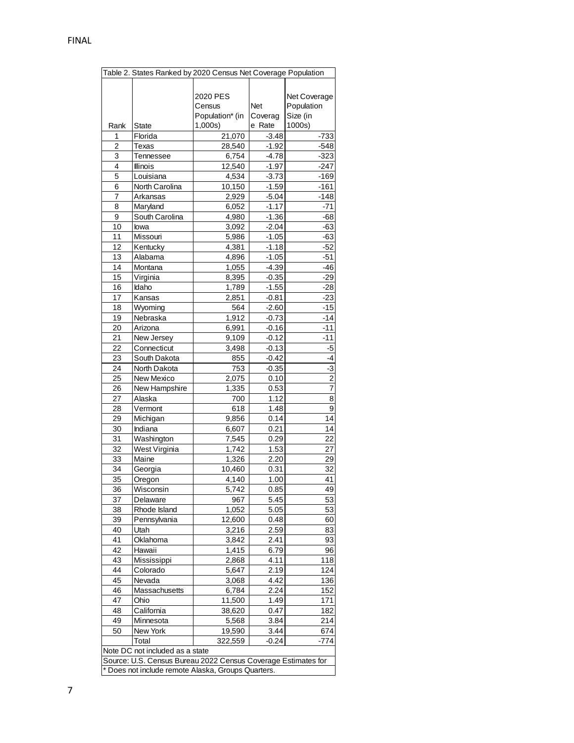| Table 2. States Ranked by 2020 Census Net Coverage Population |                |                             |              |                |
|---------------------------------------------------------------|----------------|-----------------------------|--------------|----------------|
|                                                               |                |                             |              |                |
|                                                               |                | 2020 PES                    |              | Net Coverage   |
|                                                               |                | Census                      | <b>Net</b>   | Population     |
|                                                               |                | Population* (in             | Coverag      | Size (in       |
| Rank                                                          | State          | 1,000s                      | e Rate       | 1000s)         |
| 1                                                             | Florida        | 21,070                      | $-3.48$      | $-733$         |
| 2                                                             | Texas          | 28,540                      | $-1.92$      | $-548$         |
| 3                                                             | Tennessee      | 6,754                       | $-4.78$      | $-323$         |
| 4                                                             | Illinois       | 12,540                      | $-1.97$      | $-247$         |
| 5                                                             | Louisiana      | 4,534                       | $-3.73$      | $-169$         |
| 6                                                             | North Carolina | 10,150                      | $-1.59$      | -161           |
| $\overline{7}$                                                | Arkansas       | 2,929                       | $-5.04$      | -148           |
| 8                                                             | Maryland       | 6,052                       | $-1.17$      | $-71$          |
| 9                                                             | South Carolina | 4,980                       | $-1.36$      | -68            |
| 10                                                            | lowa           | 3,092                       | $-2.04$      | $-63$          |
| 11                                                            | Missouri       | 5,986                       | $-1.05$      | $-63$          |
| 12                                                            | Kentucky       | 4,381                       | $-1.18$      | -52            |
| 13                                                            | Alabama        | 4,896                       | $-1.05$      | $-51$          |
| 14                                                            | Montana        | 1,055                       | $-4.39$      | -46            |
| 15                                                            | Virginia       | 8,395                       | $-0.35$      | $-29$          |
| 16                                                            | Idaho          | 1,789                       | $-1.55$      | $-28$          |
| 17                                                            | Kansas         | 2,851                       | $-0.81$      | $-23$          |
| 18                                                            | Wyoming        | 564                         | $-2.60$      | $-15$          |
| 19                                                            | Nebraska       | 1,912                       | $-0.73$      | $-14$          |
| 20                                                            | Arizona        | 6,991                       | $-0.16$      | -11            |
| 21                                                            | New Jersey     | 9,109                       | $-0.12$      | $-11$          |
| 22                                                            | Connecticut    | 3,498                       | $-0.13$      | -5             |
| 23                                                            | South Dakota   | 855                         | $-0.42$      | -4             |
| 24                                                            | North Dakota   | 753                         | $-0.35$      | $-3$           |
| 25                                                            | New Mexico     | 2,075                       | 0.10         | $\overline{2}$ |
| 26                                                            | New Hampshire  | 1,335                       | 0.53         | 7              |
| 27                                                            | Alaska         | 700                         | 1.12         | 8              |
| 28                                                            | Vermont        | 618                         | 1.48         | 9              |
| 29                                                            | Michigan       | 9,856                       | 0.14         | 14             |
| 30                                                            | Indiana        | 6,607                       | 0.21         | 14             |
| 31                                                            | Washington     | 7,545                       | 0.29         | 22             |
| $\overline{32}$                                               | West Virginia  | 1,742                       | 1.53         | 27             |
|                                                               |                |                             | 2.20         |                |
| 33                                                            | Maine          | 1,326                       |              | 29             |
| 34<br>35                                                      | Georgia        | 10,460<br>4,140             | 0.31<br>1.00 | 32<br>41       |
|                                                               | Oregon         |                             | 0.85         | 49             |
| 36                                                            | Wisconsin      | 5,742                       |              |                |
| 37                                                            | Delaware       | 967                         | 5.45         | 53             |
| 38                                                            | Rhode Island   | 1,052                       | 5.05         | 53             |
| 39<br>40                                                      | Pennsylvania   | 12,600                      | 0.48         | 60             |
| 41                                                            | Utah           | 3,216                       | 2.59         | 83             |
| 42                                                            | Oklahoma       | 3,842<br>$\overline{1,}415$ | 2.41         | 93             |
|                                                               | Hawaii         |                             | 6.79         | 96             |
| 43                                                            | Mississippi    | 2,868                       | 4.11         | 118            |
| 44                                                            | Colorado       | 5,647                       | 2.19         | 124            |
| 45                                                            | Nevada         | 3,068                       | 4.42         | 136            |
| 46                                                            | Massachusetts  | 6,784                       | 2.24         | 152            |
| 47                                                            | Ohio           | 11,500                      | 1.49         | 171            |
| 48                                                            | California     | 38,620                      | 0.47         | 182            |
| 49                                                            | Minnesota      | 5,568                       | 3.84         | 214            |
| 50                                                            | New York       | 19,590                      | 3.44         | 674            |
|                                                               | Total          | 322,559                     | $-0.24$      | -774           |
| Note DC not included as a state                               |                |                             |              |                |
| Source: U.S. Census Bureau 2022 Census Coverage Estimates for |                |                             |              |                |
| * Does not include remote Alaska, Groups Quarters.            |                |                             |              |                |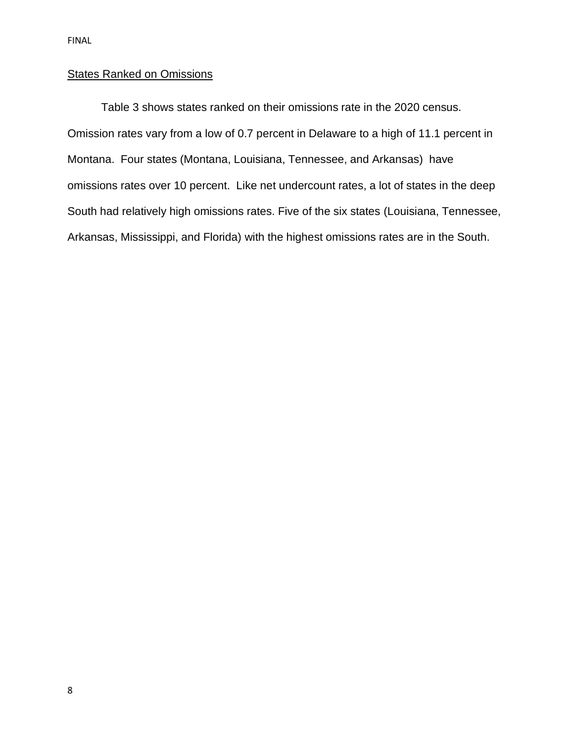### **States Ranked on Omissions**

Table 3 shows states ranked on their omissions rate in the 2020 census. Omission rates vary from a low of 0.7 percent in Delaware to a high of 11.1 percent in Montana. Four states (Montana, Louisiana, Tennessee, and Arkansas) have omissions rates over 10 percent. Like net undercount rates, a lot of states in the deep South had relatively high omissions rates. Five of the six states (Louisiana, Tennessee, Arkansas, Mississippi, and Florida) with the highest omissions rates are in the South.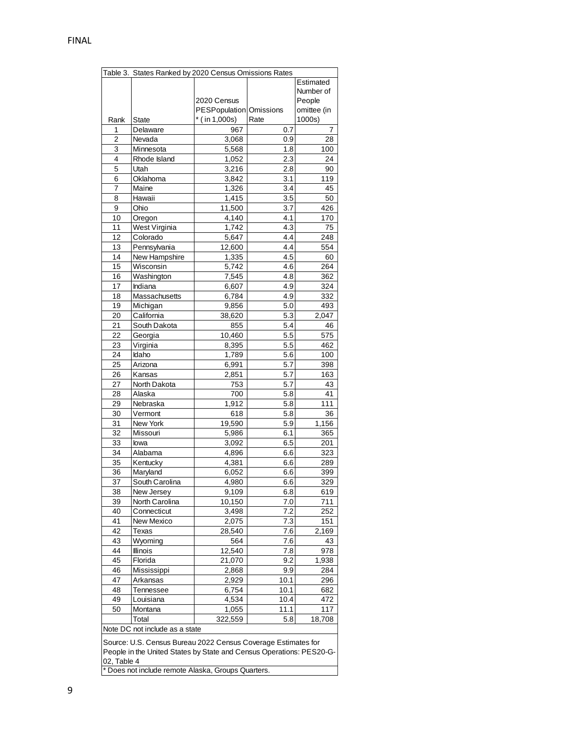| Table 3. States Ranked by 2020 Census Omissions Rates                |                                |                         |         |             |  |
|----------------------------------------------------------------------|--------------------------------|-------------------------|---------|-------------|--|
|                                                                      |                                |                         |         | Estimated   |  |
|                                                                      |                                |                         |         | Number of   |  |
|                                                                      |                                | 2020 Census             |         | People      |  |
|                                                                      |                                | PESPopulation Omissions |         | omittee (in |  |
| Rank                                                                 | <b>State</b>                   | $*$ (in 1,000s)         | Rate    | 1000s)      |  |
| 1                                                                    | Delaware                       | 967                     | 0.7     | 7           |  |
| $\overline{2}$                                                       | Nevada                         | 3,068                   | 0.9     | 28          |  |
| 3                                                                    |                                |                         | 1.8     |             |  |
|                                                                      | Minnesota                      | 5,568                   |         | 100         |  |
| 4                                                                    | Rhode Island                   | 1,052                   | 2.3     | 24          |  |
| 5                                                                    | Utah                           | 3,216                   | 2.8     | 90          |  |
| 6                                                                    | Oklahoma                       | 3,842                   | 3.1     | 119         |  |
| 7                                                                    | Maine                          | 1,326                   | 3.4     | 45          |  |
| 8                                                                    | Hawaii                         | 1,415                   | 3.5     | 50          |  |
| 9                                                                    | Ohio                           | 11,500                  | 3.7     | 426         |  |
| 10                                                                   | Oregon                         | 4,140                   | 4.1     | 170         |  |
| 11                                                                   | West Virginia                  | 1,742                   | 4.3     | 75          |  |
| 12                                                                   | Colorado                       | 5,647                   | 4.4     | 248         |  |
| 13                                                                   | Pennsylvania                   | 12,600                  | 4.4     | 554         |  |
| 14                                                                   | New Hampshire                  | 1,335                   | 4.5     | 60          |  |
| 15                                                                   | Wisconsin                      | 5,742                   | 4.6     | 264         |  |
|                                                                      |                                |                         |         |             |  |
| 16                                                                   | Washington                     | 7,545                   | 4.8     | 362         |  |
| 17                                                                   | Indiana                        | 6,607                   | 4.9     | 324         |  |
| 18                                                                   | Massachusetts                  | 6,784                   | 4.9     | 332         |  |
| 19                                                                   | Michigan                       | 9,856                   | 5.0     | 493         |  |
| 20                                                                   | California                     | 38,620                  | 5.3     | 2,047       |  |
| 21                                                                   | South Dakota                   | 855                     | 5.4     | 46          |  |
| 22                                                                   | Georgia                        | 10,460                  | 5.5     | 575         |  |
| 23                                                                   | Virginia                       | 8,395                   | 5.5     | 462         |  |
| 24                                                                   | Idaho                          | 1,789                   | 5.6     | 100         |  |
| 25                                                                   | Arizona                        | 6,991                   | 5.7     | 398         |  |
| 26                                                                   | Kansas                         | 2,851                   | 5.7     | 163         |  |
| 27                                                                   | North Dakota                   | 753                     | 5.7     | 43          |  |
| 28                                                                   |                                |                         |         | 41          |  |
|                                                                      | Alaska                         | 700                     | 5.8     |             |  |
| 29                                                                   | Nebraska                       | 1,912                   | 5.8     | 111         |  |
| 30                                                                   | Vermont                        | 618                     | 5.8     | 36          |  |
| 31                                                                   | New York                       | 19,590                  | 5.9     | 1,156       |  |
| 32                                                                   | Missouri                       | 5,986                   | 6.1     | 365         |  |
| 33                                                                   | lowa                           | 3,092                   | 6.5     | 201         |  |
| 34                                                                   | Alabama                        | 4,896                   | 6.6     | 323         |  |
| 35                                                                   | Kentucky                       | 4,381                   | 6.6     | 289         |  |
| 36                                                                   | Maryland                       | 6,052                   | 6.6     | 399         |  |
| 37                                                                   | South Carolina                 | 4,980                   | 6.6     | 329         |  |
| 38                                                                   | New Jersey                     | 9,109                   | 6.8     | 619         |  |
| 39                                                                   | North Carolina                 | 10,150                  | 7.0     | 711         |  |
| 40                                                                   | Connecticut                    | 3,498                   | 7.2     | 252         |  |
| 41                                                                   | New Mexico                     | 2,075                   | 7.3     | 151         |  |
| 42                                                                   | Texas                          | 28,540                  | $7.6\,$ | 2,169       |  |
| 43                                                                   |                                |                         |         | 43          |  |
|                                                                      | Wyoming                        | 564                     | 7.6     |             |  |
| 44                                                                   | <b>Illinois</b>                | 12,540                  | 7.8     | 978         |  |
| 45                                                                   | Florida                        | 21,070                  | 9.2     | 1,938       |  |
| 46                                                                   | Mississippi                    | 2,868                   | 9.9     | 284         |  |
| 47                                                                   | Arkansas                       | 2,929                   | 10.1    | 296         |  |
| 48                                                                   | Tennessee                      | 6,754                   | 10.1    | 682         |  |
| 49                                                                   | Louisiana                      | 4,534                   | 10.4    | 472         |  |
| 50                                                                   | Montana                        | 1,055                   | 11.1    | 117         |  |
|                                                                      | Total                          | 322,559                 | 5.8     | 18,708      |  |
|                                                                      | Note DC not include as a state |                         |         |             |  |
|                                                                      |                                |                         |         |             |  |
| Source: U.S. Census Bureau 2022 Census Coverage Estimates for        |                                |                         |         |             |  |
| People in the United States by State and Census Operations: PES20-G- |                                |                         |         |             |  |
| 02, Table 4                                                          |                                |                         |         |             |  |
| Does not include remote Alaska, Groups Quarters.                     |                                |                         |         |             |  |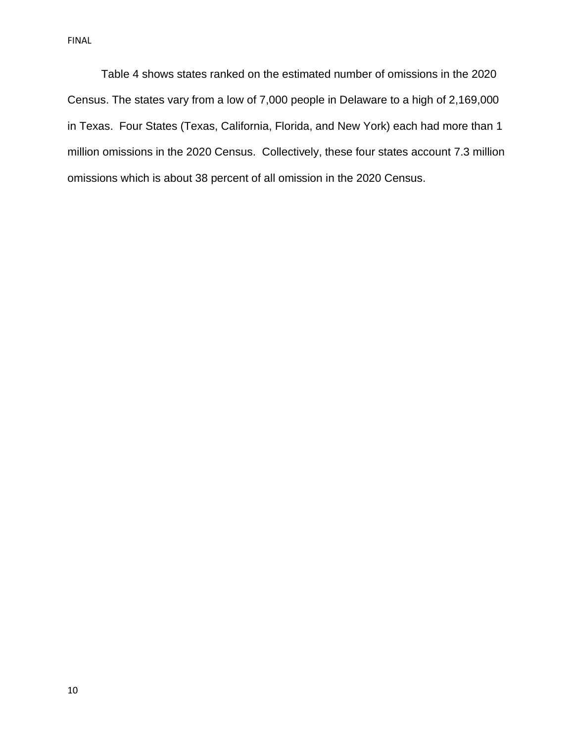Table 4 shows states ranked on the estimated number of omissions in the 2020 Census. The states vary from a low of 7,000 people in Delaware to a high of 2,169,000 in Texas. Four States (Texas, California, Florida, and New York) each had more than 1 million omissions in the 2020 Census. Collectively, these four states account 7.3 million omissions which is about 38 percent of all omission in the 2020 Census.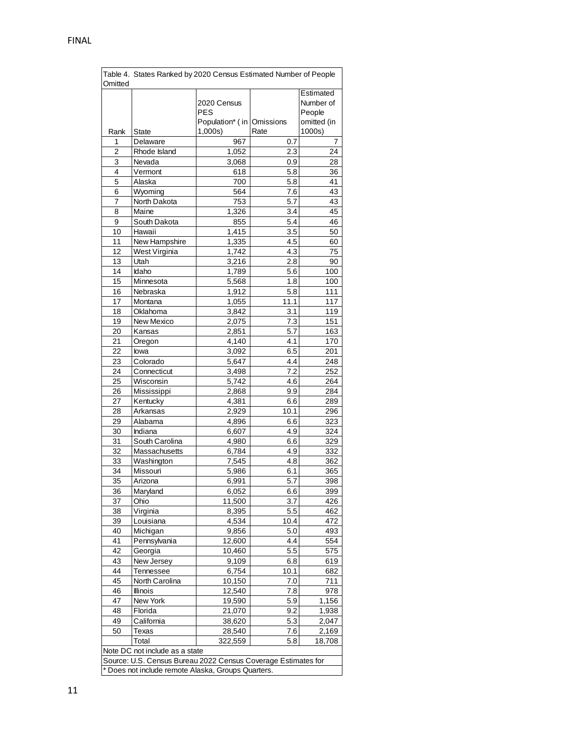| Table 4. States Ranked by 2020 Census Estimated Number of People<br>Omitted |                                |                                                        |                  |                                                 |
|-----------------------------------------------------------------------------|--------------------------------|--------------------------------------------------------|------------------|-------------------------------------------------|
|                                                                             |                                | 2020 Census<br><b>PES</b><br>Population* (in Omissions |                  | Estimated<br>Number of<br>People<br>omitted (in |
| Rank                                                                        | State                          | 1,000s                                                 | Rate             | 1000s)                                          |
| 1                                                                           | Delaware                       | 967                                                    | 0.7              | 7                                               |
| 2                                                                           | Rhode Island                   | 1,052                                                  | 2.3              | 24                                              |
| 3                                                                           | Nevada                         | 3,068                                                  | 0.9              | 28                                              |
| 4                                                                           | Vermont                        | 618                                                    | 5.8              | 36                                              |
| 5                                                                           | Alaska                         | 700                                                    | 5.8              | 41                                              |
| 6                                                                           | Wyoming                        | 564                                                    | 7.6              | 43                                              |
| 7                                                                           | North Dakota                   | 753                                                    | 5.7              | 43                                              |
| 8                                                                           | Maine                          | 1,326                                                  | 3.4              | 45                                              |
| 9                                                                           | South Dakota                   | 855                                                    | 5.4              | 46                                              |
| 10                                                                          | Hawaii                         | 1,415                                                  | 3.5              | 50                                              |
| 11                                                                          | New Hampshire                  | 1,335                                                  | 4.5              | 60                                              |
| 12                                                                          | West Virginia                  | 1,742                                                  | 4.3              | 75                                              |
| 13                                                                          | Utah                           | 3,216                                                  | 2.8              | 90                                              |
| 14                                                                          | Idaho                          | 1,789                                                  | 5.6              | 100                                             |
| 15                                                                          | Minnesota                      | 5,568                                                  | 1.8              | 100                                             |
| 16                                                                          | Nebraska                       | 1,912                                                  | 5.8              | 111                                             |
| 17                                                                          | Montana                        | 1,055                                                  | 11.1             | 117                                             |
| 18                                                                          | Oklahoma                       | 3,842                                                  | 3.1              | 119                                             |
| 19                                                                          | New Mexico                     | 2,075                                                  | 7.3              | 151                                             |
| 20                                                                          | Kansas                         | 2,851                                                  | 5.7              | 163                                             |
| 21                                                                          | Oregon                         | 4,140                                                  | 4.1              | 170                                             |
| 22                                                                          | lowa                           | 3,092                                                  | 6.5              | 201                                             |
| 23                                                                          | Colorado                       | 5,647                                                  | 4.4              | 248                                             |
| 24                                                                          | Connecticut                    | 3,498                                                  | 7.2              | 252                                             |
| 25                                                                          | Wisconsin                      | 5,742                                                  | 4.6              | 264                                             |
| 26                                                                          | Mississippi                    | 2,868                                                  | 9.9              | 284                                             |
| 27                                                                          | Kentucky                       | 4,381                                                  | 6.6              | 289                                             |
| 28                                                                          | Arkansas                       | 2,929                                                  | 10.1             | 296                                             |
| 29                                                                          | Alabama                        | 4,896                                                  | 6.6              | 323                                             |
| 30                                                                          | Indiana                        | 6,607                                                  | 4.9              | 324                                             |
| 31                                                                          | South Carolina                 | 4,980                                                  | 6.6              | 329                                             |
| 32                                                                          | Massachusetts                  | 6,784                                                  | 4.9              | 332                                             |
| 33                                                                          | Washington                     | 7,545                                                  | 4.8              | 362                                             |
| 34<br>$\overline{35}$                                                       | Missouri                       | 5,986                                                  | 6.1              | 365                                             |
|                                                                             | Arizona                        | 6,991                                                  | $\overline{5.7}$ | 398                                             |
| 36                                                                          | Maryland                       | 6,052                                                  | 6.6              | 399                                             |
| 37                                                                          | Ohio                           | 11,500                                                 | 3.7              | 426                                             |
| 38                                                                          | Virginia                       | 8,395                                                  | 5.5              | 462                                             |
| 39                                                                          | Louisiana                      | 4,534                                                  | 10.4             | 472                                             |
| 40                                                                          | Michigan                       | 9,856                                                  | 5.0<br>4.4       | 493                                             |
| 41                                                                          | Pennsylvania                   | 12,600                                                 |                  | 554                                             |
| 42                                                                          | Georgia                        | 10,460                                                 | 5.5              | 575                                             |
| 43<br>44                                                                    | New Jersey                     | 9,109                                                  | 6.8              | 619                                             |
| 45                                                                          | Tennessee                      | 6,754                                                  | 10.1             | 682<br>711                                      |
| 46                                                                          | North Carolina                 | 10,150<br>12,540                                       | 7.0              |                                                 |
| 47                                                                          | Illinois                       |                                                        | 7.8              | 978                                             |
| 48                                                                          | New York<br>Florida            | 19,590                                                 | 5.9<br>9.2       | 1,156                                           |
| 49                                                                          | California                     | 21,070                                                 | 5.3              | 1,938                                           |
| 50                                                                          | Texas                          | 38,620<br>28,540                                       | 7.6              | 2,047<br>2,169                                  |
|                                                                             | Total                          |                                                        |                  |                                                 |
|                                                                             |                                | 322,559                                                | 5.8              | 18,708                                          |
|                                                                             | Note DC not include as a state |                                                        |                  |                                                 |
| Source: U.S. Census Bureau 2022 Census Coverage Estimates for               |                                |                                                        |                  |                                                 |
| * Does not include remote Alaska, Groups Quarters.                          |                                |                                                        |                  |                                                 |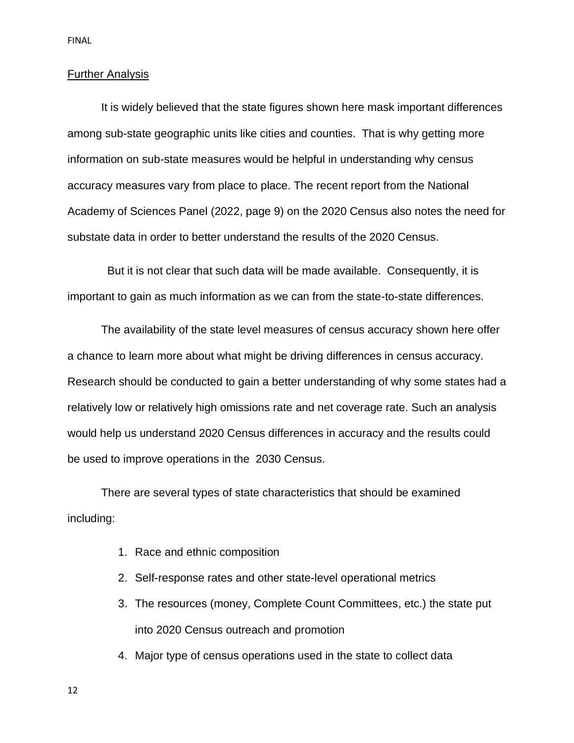#### Further Analysis

It is widely believed that the state figures shown here mask important differences among sub-state geographic units like cities and counties. That is why getting more information on sub-state measures would be helpful in understanding why census accuracy measures vary from place to place. The recent report from the National Academy of Sciences Panel (2022, page 9) on the 2020 Census also notes the need for substate data in order to better understand the results of the 2020 Census.

 But it is not clear that such data will be made available. Consequently, it is important to gain as much information as we can from the state-to-state differences.

The availability of the state level measures of census accuracy shown here offer a chance to learn more about what might be driving differences in census accuracy. Research should be conducted to gain a better understanding of why some states had a relatively low or relatively high omissions rate and net coverage rate. Such an analysis would help us understand 2020 Census differences in accuracy and the results could be used to improve operations in the 2030 Census.

There are several types of state characteristics that should be examined including:

- 1. Race and ethnic composition
- 2. Self-response rates and other state-level operational metrics
- 3. The resources (money, Complete Count Committees, etc.) the state put into 2020 Census outreach and promotion
- 4. Major type of census operations used in the state to collect data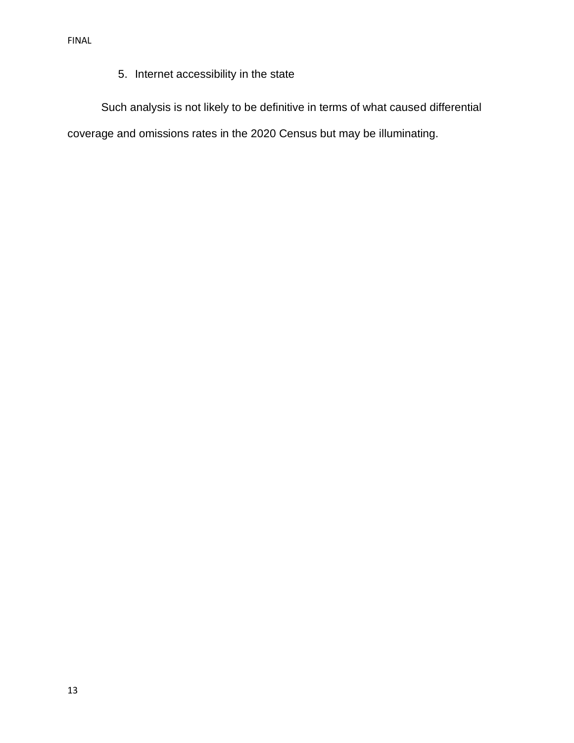# 5. Internet accessibility in the state

Such analysis is not likely to be definitive in terms of what caused differential coverage and omissions rates in the 2020 Census but may be illuminating.